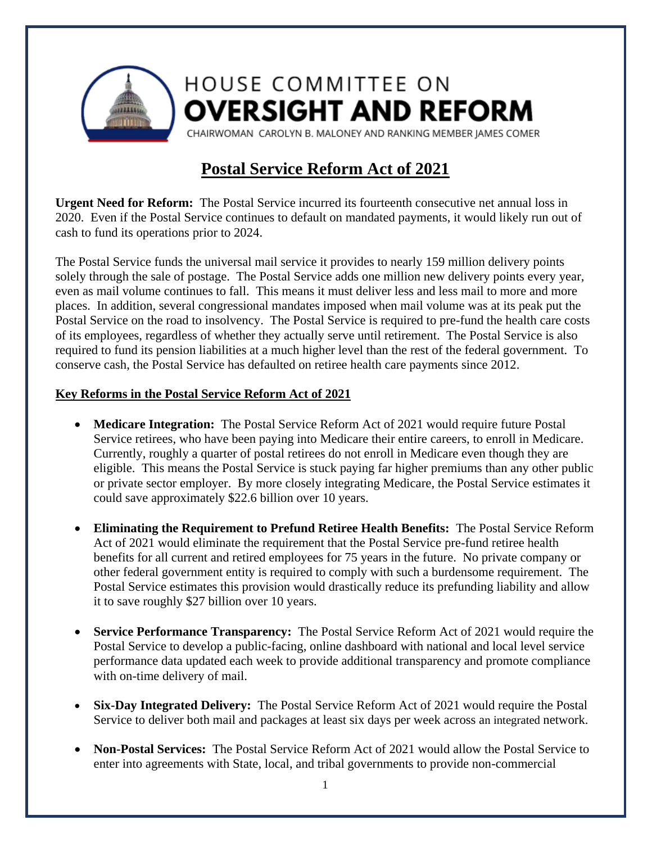

## **HOUSE COMMITTEE ON OVERSIGHT AND REFORM**

CHAIRWOMAN CAROLYN B. MALONEY AND RANKING MEMBER JAMES COMER

## **Postal Service Reform Act of 2021**

**Urgent Need for Reform:** The Postal Service incurred its fourteenth consecutive net annual loss in 2020. Even if the Postal Service continues to default on mandated payments, it would likely run out of cash to fund its operations prior to 2024.

The Postal Service funds the universal mail service it provides to nearly 159 million delivery points solely through the sale of postage. The Postal Service adds one million new delivery points every year, even as mail volume continues to fall. This means it must deliver less and less mail to more and more places. In addition, several congressional mandates imposed when mail volume was at its peak put the Postal Service on the road to insolvency. The Postal Service is required to pre-fund the health care costs of its employees, regardless of whether they actually serve until retirement. The Postal Service is also required to fund its pension liabilities at a much higher level than the rest of the federal government. To conserve cash, the Postal Service has defaulted on retiree health care payments since 2012.

## **Key Reforms in the Postal Service Reform Act of 2021**

- **Medicare Integration:** The Postal Service Reform Act of 2021 would require future Postal Service retirees, who have been paying into Medicare their entire careers, to enroll in Medicare. Currently, roughly a quarter of postal retirees do not enroll in Medicare even though they are eligible. This means the Postal Service is stuck paying far higher premiums than any other public or private sector employer. By more closely integrating Medicare, the Postal Service estimates it could save approximately \$22.6 billion over 10 years.
- **Eliminating the Requirement to Prefund Retiree Health Benefits:** The Postal Service Reform Act of 2021 would eliminate the requirement that the Postal Service pre-fund retiree health benefits for all current and retired employees for 75 years in the future. No private company or other federal government entity is required to comply with such a burdensome requirement. The Postal Service estimates this provision would drastically reduce its prefunding liability and allow it to save roughly \$27 billion over 10 years.
- **Service Performance Transparency:** The Postal Service Reform Act of 2021 would require the Postal Service to develop a public-facing, online dashboard with national and local level service performance data updated each week to provide additional transparency and promote compliance with on-time delivery of mail.
- **Six-Day Integrated Delivery:** The Postal Service Reform Act of 2021 would require the Postal Service to deliver both mail and packages at least six days per week across an integrated network.
- **Non-Postal Services:** The Postal Service Reform Act of 2021 would allow the Postal Service to enter into agreements with State, local, and tribal governments to provide non-commercial